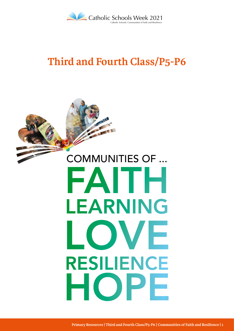

# **Third and Fourth Class/P5-P6**



**Primary Resources | Third and Fourth Class/P5-P6 | Communities of Faith and Resilience | 1**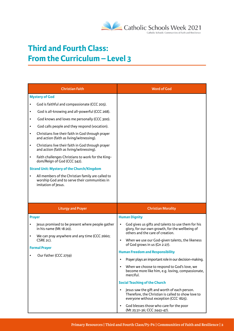

# **Third and Fourth Class: From the Curriculum – Level 3**

| <b>Christian Faith</b>                                                                                                                 | <b>Word of God</b>                                                                                                                                        |
|----------------------------------------------------------------------------------------------------------------------------------------|-----------------------------------------------------------------------------------------------------------------------------------------------------------|
| <b>Mystery of God</b>                                                                                                                  |                                                                                                                                                           |
| God is faithful and compassionate (CCC 205).<br>$\bullet$                                                                              |                                                                                                                                                           |
| God is all-knowing and all-powerful (CCC 268).<br>$\bullet$                                                                            |                                                                                                                                                           |
| God knows and loves me personally (CCC 300).<br>$\bullet$                                                                              |                                                                                                                                                           |
| God calls people and they respond (vocation).<br>$\bullet$                                                                             |                                                                                                                                                           |
| Christians live their faith in God through prayer<br>$\bullet$<br>and action (faith as living/witnessing).                             |                                                                                                                                                           |
| Christians live their faith in God through prayer<br>$\bullet$<br>and action (faith as living/witnessing).                             |                                                                                                                                                           |
| Faith challenges Christians to work for the King-<br>$\bullet$<br>dom/Reign of God (CCC 542).                                          |                                                                                                                                                           |
| <b>Strand Unit: Mystery of the Church/Kingdom</b>                                                                                      |                                                                                                                                                           |
| All members of the Christian family are called to<br>$\bullet$<br>worship God and to serve their communities in<br>imitation of Jesus. |                                                                                                                                                           |
|                                                                                                                                        |                                                                                                                                                           |
| <b>Liturgy and Prayer</b>                                                                                                              | <b>Christian Morality</b>                                                                                                                                 |
| <b>Prayer</b>                                                                                                                          | <b>Human Dignity</b>                                                                                                                                      |
| Jesus promised to be present where people gather<br>$\bullet$<br>in his name (Mt 18:20).                                               | God gives us gifts and talents to use them for his<br>glory, for our own growth, for the wellbeing of<br>others and the care of creation.                 |
| We can pray anywhere and any time (CCC 2660;<br>$\bullet$<br>CSRE 2c).                                                                 | When we use our God-given talents, the likeness<br>$\bullet$                                                                                              |
| <b>Formal Prayer</b>                                                                                                                   | of God grows in us (Gn 2:27).                                                                                                                             |
| Our Father (CCC 2759)                                                                                                                  | <b>Human Freedom and Responsibility</b>                                                                                                                   |
|                                                                                                                                        | Prayer plays an important role in our decision-making.                                                                                                    |
|                                                                                                                                        | When we choose to respond to God's love, we<br>$\bullet$<br>become more like him, e.g. loving, compassionate,<br>merciful.                                |
|                                                                                                                                        | <b>Social Teaching of the Church</b>                                                                                                                      |
|                                                                                                                                        | Jesus saw the gift and worth of each person.<br>$\bullet$<br>Therefore, the Christian is called to show love to<br>everyone without exception (CCC 1825). |
|                                                                                                                                        | God blesses those who care for the poor<br>(Mt 25:31-36; CCC 2443-47).                                                                                    |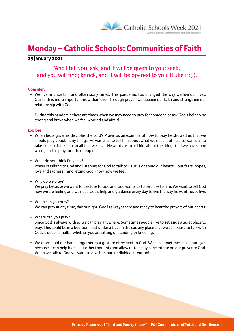

# **Monday – Catholic Schools: Communities of Faith**

#### **25 January 2021**

# 'And I tell you, ask, and it will be given to you; seek, and you will find; knock, and it will be opened to you' (Luke 11:9).

#### **Consider:**

- We live in uncertain and often scary times. This pandemic has changed the way we live our lives. Our faith is more important now than ever. Through prayer, we deepen our faith and strengthen our relationship with God.
- During this pandemic there are times when we may need to pray for someone or ask God's help to be strong and brave when we feel worried and afraid.

#### **Explore:**

- When Jesus gave his disciples the Lord's Prayer as an example of how to pray he showed us that we should pray about many things. He wants us to tell him about what we need, but he also wants us to take time to thank him for all that we have. He wants us to tell him about the things that we have done wrong and to pray for other people.
- What do you think Prayer is?

Prayer is talking to God and listening for God to talk to us. It is opening our hearts – our fears, hopes, joys and sadness – and letting God know how we feel.

• Why do we pray?

We pray because we want to be close to God and God wants us to be close to him. We want to tell God how we are feeling and we need God's help and guidance every day to live the way he wants us to live.

- When can you pray? We can pray at any time, day or night. God is always there and ready to hear the prayers of our hearts.
- Where can you pray?

Since God is always with us we can pray anywhere. Sometimes people like to set aside a quiet place to pray. This could be in a bedroom, out under a tree, in the car, any place that we can pause to talk with God. It doesn't matter whether you are sitting or standing or kneeling.

• We often hold our hands together as a gesture of respect to God. We can sometimes close our eyes because it can help block out other thoughts and allow us to really concentrate on our prayer to God. When we talk to God we want to give him our 'undivided attention!'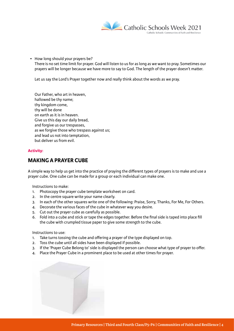

• How long should your prayers be?

There is no set time limit for prayer. God will listen to us for as long as we want to pray. Sometimes our prayers will be longer because we have more to say to God. The length of the prayer doesn't matter.

Let us say the Lord's Prayer together now and really think about the words as we pray.

Our Father, who art in heaven, hallowed be thy name; thy kingdom come, thy will be done on earth as it is in heaven. Give us this day our daily bread, and forgive us our trespasses, as we forgive those who trespass against us; and lead us not into temptation, but deliver us from evil.

#### **Activity:**

## **MAKING A PRAYER CUBE**

A simple way to help us get into the practice of praying the different types of prayers is to make and use a prayer cube. One cube can be made for a group or each individual can make one.

Instructions to make:

- 1. Photocopy the prayer cube template worksheet on card.
- 2. In the centre square write your name clearly.
- 3. In each of the other squares write one of the following: Praise, Sorry, Thanks, For Me, For Others.
- 4. Decorate the various faces of the cube in whatever way you desire.
- 5. Cut out the prayer cube as carefully as possible.
- 6. Fold into a cube and stick or tape the edges together. Before the final side is taped into place fill the cube with crumpled tissue paper to give some strength to the cube.

Instructions to use:

- 1. Take turns tossing the cube and offering a prayer of the type displayed on top.
- 2. Toss the cube until all sides have been displayed if possible.
- 3. If the 'Prayer Cube Belong to' side is displayed the person can choose what type of prayer to offer.
- 4. Place the Prayer Cube in a prominent place to be used at other times for prayer.

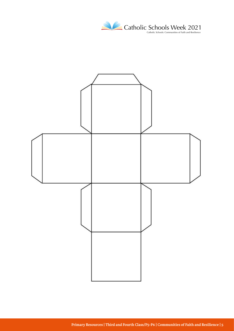

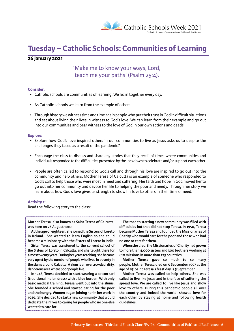

# **Tuesday – Catholic Schools: Communities of Learning**

#### **26 January 2021**

'Make me to know your ways, Lord, teach me your paths' (Psalm 25:4).

#### **Consider:**

- Catholic schools are communities of learning. We learn together every day.
- As Catholic schools we learn from the example of others.
- Through history we witness time and time again people who put their trust in God in difficult situations and set about living their lives in witness to God's love. We can learn from their example and go out into our communities and bear witness to the love of God in our own actions and deeds.

#### **Explore:**

- Explore how God's love inspired others in our communities to live as Jesus asks us to despite the challenges they faced as a result of the pandemic?
- Encourage the class to discuss and share any stories that they recall of times where communities and individuals responded to the difficulties presented by the lockdown to celebrate and/or support each other.
- People are often called to respond to God's call and through his love are inspired to go out into the community and help others. Mother Teresa of Calcutta is an example of someone who responded to God's call to help those who were most in need and suffering. Her faith and hope in God moved her to go out into her community and devote her life to helping the poor and needy. Through her story we learn about how God's love gives us strength to show his love to others in their time of need.

#### **Activity 1:**

Read the following story to the class:

**Mother Teresa, also known as Saint Teresa of Calcutta, was born on 26 August 1910.**

**At the age of eighteen, she joined the Sisters of Loreto in Ireland. She wanted to learn English so she could become a missionary with the Sisters of Loreto in India.**

**Sister Teresa was transferred to the convent school of the Sisters of Loreto in Calcutta, and she taught there for almost twenty years. During her years teaching, she became very upset by the number of people who lived in poverty in the slums around Calcutta. A slum is an overcrowded, dirty, dangerous area where poor people live.**

**In 1948, Teresa decided to start wearing a cotton sari (traditional Indian dress) with a blue border. With only basic medical training, Teresa went out into the slums. She founded a school and started caring for the poor and the hungry. Women began joining her in her work in 1949. She decided to start a new community that would dedicate their lives to caring for people who no one else wanted to care for.**

**The road to starting a new community was filled with difficulties but that did not stop Teresa. In 1950, Teresa became Mother Teresa and founded the Missionaries of Charity who would care for the poor and those who had no one to care for them.**

**When she died, the Missionaries of Charity had grown to more than 4,000 sisters and 300 brothers working at 610 missions in more than 123 countries.**

**Mother Teresa gave so much to so many people. Mother Teresa died on 5 September 1997 at the age of 87. Saint Teresa's feast day is 5 September.** 

**Mother Teresa was called to help others. She was called to live like Jesus and in the face of suffering she spread love. We are called to live like Jesus and show love to others. During this pandemic people all over the country and indeed the world, showed love for each other by staying at home and following health guidelines.**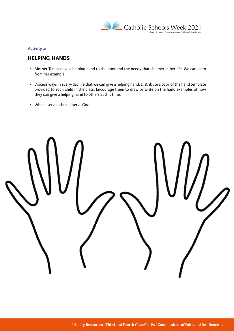

#### **Activity 2:**

## **HELPING HANDS**

- Mother Teresa gave a helping hand to the poor and the needy that she met in her life. We can learn from her example.
- Discuss ways in every-day life that we can give a helping hand. Distribute a copy of the hand template provided to each child in the class. Encourage them to draw or write on the hand examples of how they can give a helping hand to others at this time.
- When I serve others, I serve God.

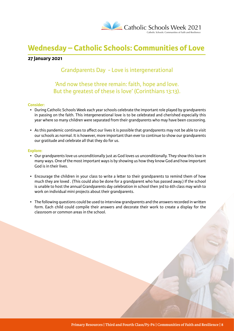

# **Wednesday – Catholic Schools: Communities of Love**

#### **27 January 2021**

## Grandparents Day - Love is intergenerational

## 'And now these three remain: faith, hope and love. But the greatest of these is love' (Corinthians 13:13).

#### **Consider:**

- During Catholic Schools Week each year schools celebrate the important role played by grandparents in passing on the faith. This intergenerational love is to be celebrated and cherished especially this year where so many children were separated from their grandparents who may have been cocooning.
- As this pandemic continues to affect our lives it is possible that grandparents may not be able to visit our schools as normal. It is however, more important than ever to continue to show our grandparents our gratitude and celebrate all that they do for us.

#### **Explore:**

- Our grandparents love us unconditionally just as God loves us unconditionally. They show this love in many ways. One of the most important ways is by showing us how they know God and how important God is in their lives.
- Encourage the children in your class to write a letter to their grandparents to remind them of how much they are loved . (This could also be done for a grandparent who has passed away.) If the school is unable to host the annual Grandparents day celebration in school then 3rd to 6th class may wish to work on individual mini projects about their grandparents.
- The following questions could be used to interview grandparents and the answers recorded in written form. Each child could compile their answers and decorate their work to create a display for the classroom or common areas in the school.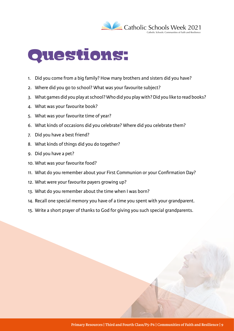

# Questions:

- 1. Did you come from a big family? How many brothers and sisters did you have?
- 2. Where did you go to school? What was your favourite subject?
- 3. What games did you play at school? Who did you play with? Did you like to read books?
- 4. What was your favourite book?
- 5. What was your favourite time of year?
- 6. What kinds of occasions did you celebrate? Where did you celebrate them?
- 7. Did you have a best friend?
- 8. What kinds of things did you do together?
- 9. Did you have a pet?
- 10. What was your favourite food?
- 11. What do you remember about your First Communion or your Confirmation Day?
- 12. What were your favourite payers growing up?
- 13. What do you remember about the time when I was born?
- 14. Recall one special memory you have of a time you spent with your grandparent.
- 15. Write a short prayer of thanks to God for giving you such special grandparents.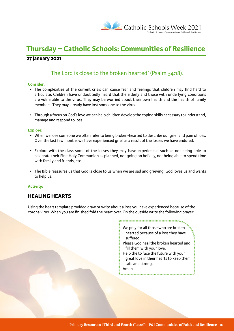

# **Thursday – Catholic Schools: Communities of Resilience**

#### **27 January 2021**

# 'The Lord is close to the broken hearted' (Psalm 34:18).

#### **Consider:**

- The complexities of the current crisis can cause fear and feelings that children may find hard to articulate. Children have undoubtedly heard that the elderly and those with underlying conditions are vulnerable to the virus. They may be worried about their own health and the health of family members. They may already have lost someone to the virus.
- Through a focus on God's love we can help children develop the coping skills necessary to understand, manage and respond to loss.

#### **Explore:**

- When we lose someone we often refer to being broken-hearted to describe our grief and pain of loss. Over the last few months we have experienced grief as a result of the losses we have endured.
- Explore with the class some of the losses they may have experienced such as not being able to celebrate their First Holy Communion as planned, not going on holiday, not being able to spend time with family and friends, etc.
- The Bible reassures us that God is close to us when we are sad and grieving. God loves us and wants to help us.

#### **Activity:**

## **HEALING HEARTS**

Using the heart template provided draw or write about a loss you have experienced because of the corona virus. When you are finished fold the heart over. On the outside write the following prayer:

> We pray for all those who are broken hearted because of a loss they have suffered.

- Please God heal the broken hearted and fill them with your love.
- Help the to face the future with your great love in their hearts to keep them safe and strong.

Amen.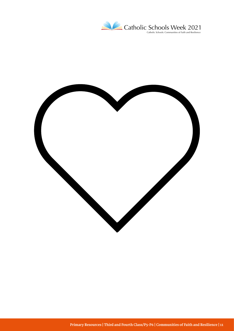

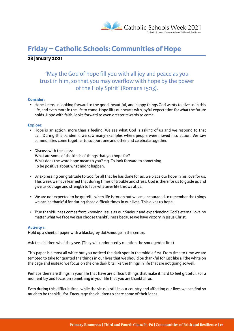

# **Friday – Catholic Schools: Communities of Hope**

#### **28 January 2021**

# 'May the God of hope fill you with all joy and peace as you trust in him, so that you may overflow with hope by the power of the Holy Spirit' (Romans 15:13).

#### **Consider:**

• Hope keeps us looking forward to the good, beautiful, and happy things God wants to give us in this life, and even more in the life to come. Hope lifts our hearts with joyful expectation for what the future holds. Hope with faith, looks forward to even greater rewards to come.

#### **Explore:**

- Hope is an action, more than a feeling. We see what God is asking of us and we respond to that call. During this pandemic we saw many examples where people were moved into action. We saw communities come together to support one and other and celebrate together.
- Discuss with the class: What are some of the kinds of things that you hope for? What does the word hope mean to you? e.g. To look forward to something. To be positive about what might happen.
- By expressing our gratitude to God for all that he has done for us, we place our hope in his love for us. This week we have learned that during times of trouble and stress, God is there for us to guide us and give us courage and strength to face whatever life throws at us.
- We are not expected to be grateful when life is tough but we are encouraged to remember the things we can be thankful for during those difficult times in our lives. This gives us hope.
- True thankfulness comes from knowing Jesus as our Saviour and experiencing God's eternal love no matter what we face we can choose thankfulness because we have victory in Jesus Christ.

#### **Activity 1:**

Hold up a sheet of paper with a black/grey dot/smudge in the centre.

Ask the children what they see. (They will undoubtedly mention the smudge/dot first)

This paper is almost all white but you noticed the dark spot in the middle first. From time to time we are tempted to take for granted the things in our lives that we should be thankful for just like all the white on the page and instead we focus on the one dark bits like the things in life that are not going so well.

Perhaps there are things in your life that have are difficult things that make it hard to feel grateful. For a moment try and focus on something in your life that you are thankful for.

Even during this difficult time, while the virus is still in our country and affecting our lives we can find so much to be thankful for. Encourage the children to share some of their ideas.